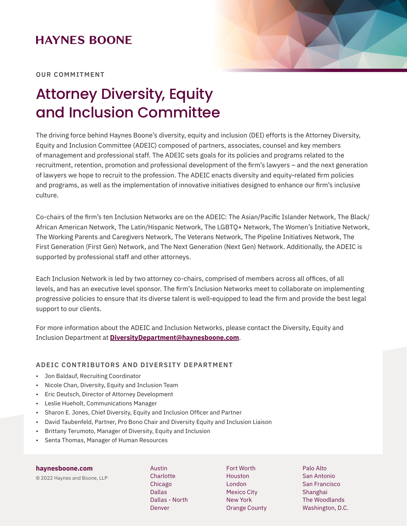### **HAYNES BOONE**



**OUR COMMITMENT**

# Attorney Diversity, Equity and Inclusion Committee

The driving force behind Haynes Boone's diversity, equity and inclusion (DEI) efforts is the Attorney Diversity, Equity and Inclusion Committee (ADEIC) composed of partners, associates, counsel and key members of management and professional staff. The ADEIC sets goals for its policies and programs related to the recruitment, retention, promotion and professional development of the firm's lawyers – and the next generation of lawyers we hope to recruit to the profession. The ADEIC enacts diversity and equity-related firm policies and programs, as well as the implementation of innovative initiatives designed to enhance our firm's inclusive culture.

Co-chairs of the firm's ten Inclusion Networks are on the ADEIC: The Asian/Pacific Islander Network, The Black/ African American Network, The Latin/Hispanic Network, The LGBTQ+ Network, The Women's Initiative Network, The Working Parents and Caregivers Network, The Veterans Network, The Pipeline Initiatives Network, The First Generation (First Gen) Network, and The Next Generation (Next Gen) Network. Additionally, the ADEIC is supported by professional staff and other attorneys.

Each Inclusion Network is led by two attorney co-chairs, comprised of members across all offices, of all levels, and has an executive level sponsor. The firm's Inclusion Networks meet to collaborate on implementing progressive policies to ensure that its diverse talent is well-equipped to lead the firm and provide the best legal support to our clients.

For more information about the ADEIC and Inclusion Networks, please contact the Diversity, Equity and Inclusion Department at **DiversityDepartment@haynesboone.com**.

### **ADEIC CONTRIBUTORS AND DIVERSITY DEPARTMENT**

- Jon Baldauf, Recruiting Coordinator
- Nicole Chan, Diversity, Equity and Inclusion Team
- Eric Deutsch, Director of Attorney Development
- Leslie Hueholt, Communications Manager
- Sharon E. Jones, Chief Diversity, Equity and Inclusion Officer and Partner
- David Taubenfeld, Partner, Pro Bono Chair and Diversity Equity and Inclusion Liaison
- Brittany Terumoto, Manager of Diversity, Equity and Inclusion
- Senta Thomas, Manager of Human Resources

#### **haynesboone.com**

© 2022 Haynes and Boone, LLP

Austin **Charlotte** Chicago Dallas Dallas - North Denver

Fort Worth Houston London Mexico City New York Orange County Palo Alto San Antonio San Francisco Shanghai The Woodlands Washington, D.C.